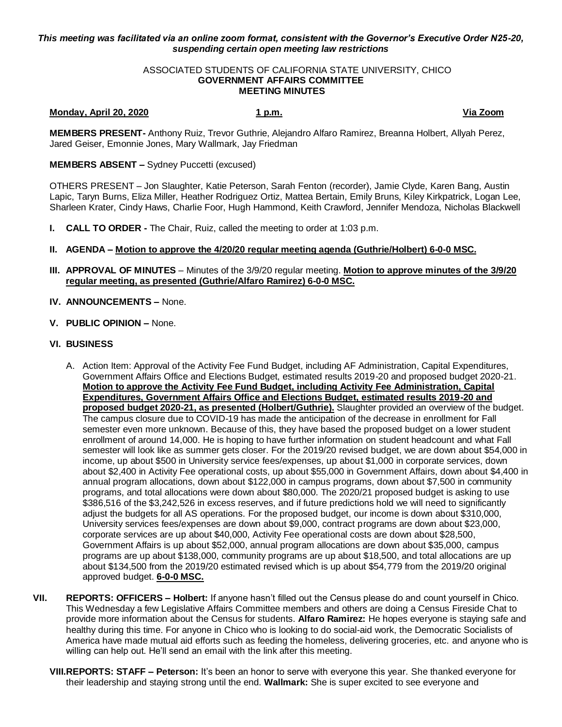# *This meeting was facilitated via an online zoom format, consistent with the Governor's Executive Order N25-20, suspending certain open meeting law restrictions*

### ASSOCIATED STUDENTS OF CALIFORNIA STATE UNIVERSITY, CHICO **GOVERNMENT AFFAIRS COMMITTEE MEETING MINUTES**

# **Monday, April 20, 2020 1 p.m. Via Zoom**

**MEMBERS PRESENT-** Anthony Ruiz, Trevor Guthrie, Alejandro Alfaro Ramirez, Breanna Holbert, Allyah Perez, Jared Geiser, Emonnie Jones, Mary Wallmark, Jay Friedman

# **MEMBERS ABSENT –** Sydney Puccetti (excused)

OTHERS PRESENT – Jon Slaughter, Katie Peterson, Sarah Fenton (recorder), Jamie Clyde, Karen Bang, Austin Lapic, Taryn Burns, Eliza Miller, Heather Rodriguez Ortiz, Mattea Bertain, Emily Bruns, Kiley Kirkpatrick, Logan Lee, Sharleen Krater, Cindy Haws, Charlie Foor, Hugh Hammond, Keith Crawford, Jennifer Mendoza, Nicholas Blackwell

**I. CALL TO ORDER -** The Chair, Ruiz, called the meeting to order at 1:03 p.m.

# **II. AGENDA – Motion to approve the 4/20/20 regular meeting agenda (Guthrie/Holbert) 6-0-0 MSC.**

- **III. APPROVAL OF MINUTES** Minutes of the 3/9/20 regular meeting. **Motion to approve minutes of the 3/9/20 regular meeting, as presented (Guthrie/Alfaro Ramirez) 6-0-0 MSC.**
- **IV. ANNOUNCEMENTS –** None.
- **V. PUBLIC OPINION –** None.

# **VI. BUSINESS**

- A. Action Item: Approval of the Activity Fee Fund Budget, including AF Administration, Capital Expenditures, Government Affairs Office and Elections Budget, estimated results 2019-20 and proposed budget 2020-21. **Motion to approve the Activity Fee Fund Budget, including Activity Fee Administration, Capital Expenditures, Government Affairs Office and Elections Budget, estimated results 2019-20 and proposed budget 2020-21, as presented (Holbert/Guthrie).** Slaughter provided an overview of the budget. The campus closure due to COVID-19 has made the anticipation of the decrease in enrollment for Fall semester even more unknown. Because of this, they have based the proposed budget on a lower student enrollment of around 14,000. He is hoping to have further information on student headcount and what Fall semester will look like as summer gets closer. For the 2019/20 revised budget, we are down about \$54,000 in income, up about \$500 in University service fees/expenses, up about \$1,000 in corporate services, down about \$2,400 in Activity Fee operational costs, up about \$55,000 in Government Affairs, down about \$4,400 in annual program allocations, down about \$122,000 in campus programs, down about \$7,500 in community programs, and total allocations were down about \$80,000. The 2020/21 proposed budget is asking to use \$386,516 of the \$3,242,526 in excess reserves, and if future predictions hold we will need to significantly adjust the budgets for all AS operations. For the proposed budget, our income is down about \$310,000, University services fees/expenses are down about \$9,000, contract programs are down about \$23,000, corporate services are up about \$40,000, Activity Fee operational costs are down about \$28,500, Government Affairs is up about \$52,000, annual program allocations are down about \$35,000, campus programs are up about \$138,000, community programs are up about \$18,500, and total allocations are up about \$134,500 from the 2019/20 estimated revised which is up about \$54,779 from the 2019/20 original approved budget. **6-0-0 MSC.**
- **VII. REPORTS: OFFICERS – Holbert:** If anyone hasn't filled out the Census please do and count yourself in Chico. This Wednesday a few Legislative Affairs Committee members and others are doing a Census Fireside Chat to provide more information about the Census for students. **Alfaro Ramirez:** He hopes everyone is staying safe and healthy during this time. For anyone in Chico who is looking to do social-aid work, the Democratic Socialists of America have made mutual aid efforts such as feeding the homeless, delivering groceries, etc. and anyone who is willing can help out. He'll send an email with the link after this meeting.
	- **VIII.REPORTS: STAFF – Peterson:** It's been an honor to serve with everyone this year. She thanked everyone for their leadership and staying strong until the end. **Wallmark:** She is super excited to see everyone and